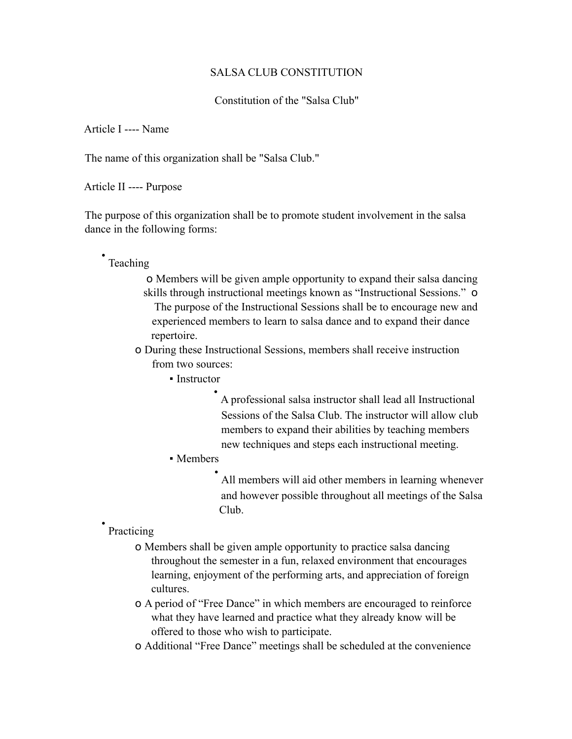### SALSA CLUB CONSTITUTION

### Constitution of the "Salsa Club"

Article I ---- Name

The name of this organization shall be "Salsa Club."

Article II ---- Purpose

The purpose of this organization shall be to promote student involvement in the salsa dance in the following forms:

# • Teaching

o Members will be given ample opportunity to expand their salsa dancing skills through instructional meetings known as "Instructional Sessions." o The purpose of the Instructional Sessions shall be to encourage new and experienced members to learn to salsa dance and to expand their dance repertoire.

o During these Instructional Sessions, members shall receive instruction from two sources:

• Instructor

• A professional salsa instructor shall lead all Instructional Sessions of the Salsa Club. The instructor will allow club members to expand their abilities by teaching members new techniques and steps each instructional meeting.

• Members

All members will aid other members in learning whenever and however possible throughout all meetings of the Salsa Club.

• Practicing

- o Members shall be given ample opportunity to practice salsa dancing throughout the semester in a fun, relaxed environment that encourages learning, enjoyment of the performing arts, and appreciation of foreign cultures.
- o A period of "Free Dance" in which members are encouraged to reinforce what they have learned and practice what they already know will be offered to those who wish to participate.
- o Additional "Free Dance" meetings shall be scheduled at the convenience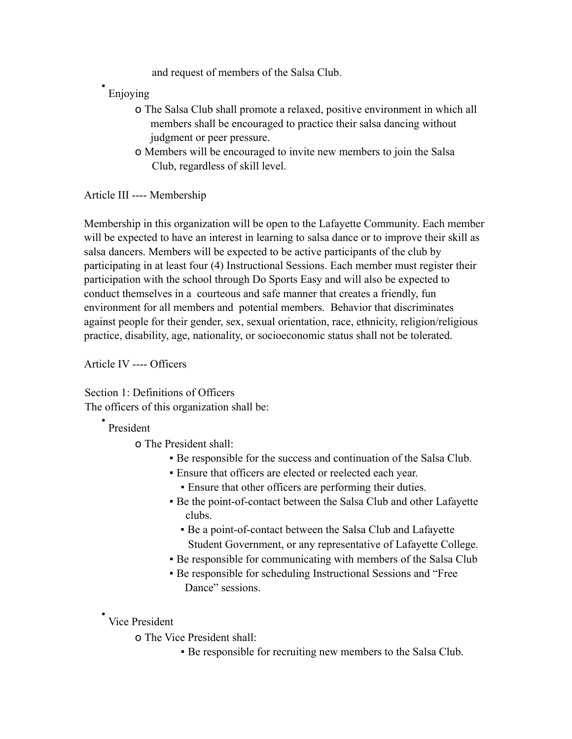and request of members of the Salsa Club.

• Enjoying

- o The Salsa Club shall promote a relaxed, positive environment in which all members shall be encouraged to practice their salsa dancing without judgment or peer pressure.
- o Members will be encouraged to invite new members to join the Salsa Club, regardless of skill level.

Article III ---- Membership

Membership in this organization will be open to the Lafayette Community. Each member will be expected to have an interest in learning to salsa dance or to improve their skill as salsa dancers. Members will be expected to be active participants of the club by participating in at least four (4) Instructional Sessions. Each member must register their participation with the school through Do Sports Easy and will also be expected to conduct themselves in a courteous and safe manner that creates a friendly, fun environment for all members and potential members. Behavior that discriminates against people for their gender, sex, sexual orientation, race, ethnicity, religion/religious practice, disability, age, nationality, or socioeconomic status shall not be tolerated.

Article IV ---- Officers

Section 1: Definitions of Officers The officers of this organization shall be:

# • President

o The President shall:

- Be responsible for the success and continuation of the Salsa Club.
- Ensure that officers are elected or reelected each year.
	- Ensure that other officers are performing their duties.
- Be the point-of-contact between the Salsa Club and other Lafayette clubs.
	- Be a point-of-contact between the Salsa Club and Lafayette Student Government, or any representative of Lafayette College.
- Be responsible for communicating with members of the Salsa Club
- Be responsible for scheduling Instructional Sessions and "Free Dance" sessions.

## • Vice President

o The Vice President shall:

▪ Be responsible for recruiting new members to the Salsa Club.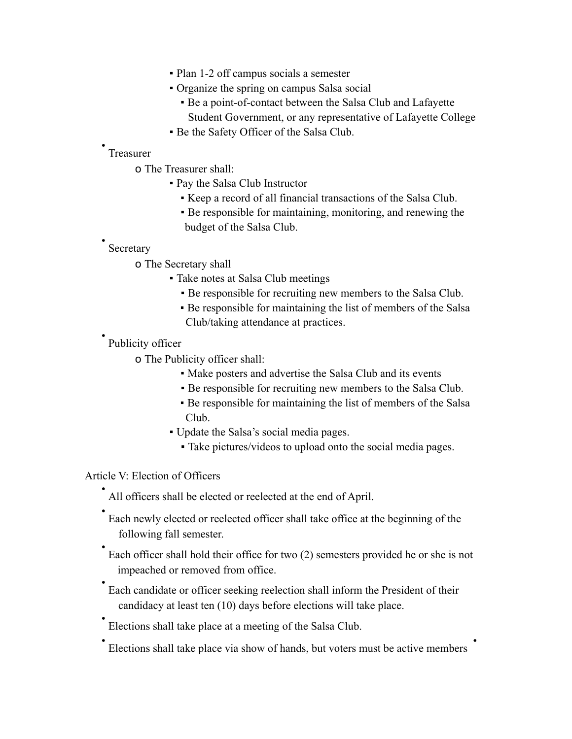- Plan 1-2 off campus socials a semester
- Organize the spring on campus Salsa social
	- Be a point-of-contact between the Salsa Club and Lafayette Student Government, or any representative of Lafayette College
- Be the Safety Officer of the Salsa Club.

#### • Treasurer

- o The Treasurer shall:
	- Pay the Salsa Club Instructor
		- Keep a record of all financial transactions of the Salsa Club.
		- Be responsible for maintaining, monitoring, and renewing the budget of the Salsa Club.

#### • Secretary

- o The Secretary shall
	- Take notes at Salsa Club meetings
		- Be responsible for recruiting new members to the Salsa Club.
		- Be responsible for maintaining the list of members of the Salsa Club/taking attendance at practices.

# • Publicity officer

o The Publicity officer shall:

- Make posters and advertise the Salsa Club and its events
- Be responsible for recruiting new members to the Salsa Club.
- Be responsible for maintaining the list of members of the Salsa Club.
- Update the Salsa's social media pages.
	- Take pictures/videos to upload onto the social media pages.

### Article V: Election of Officers

- All officers shall be elected or reelected at the end of April.
- Each newly elected or reelected officer shall take office at the beginning of the following fall semester.
- Each officer shall hold their office for two (2) semesters provided he or she is not impeached or removed from office.
- Each candidate or officer seeking reelection shall inform the President of their candidacy at least ten (10) days before elections will take place.
- Elections shall take place at a meeting of the Salsa Club.
- Elections shall take place via show of hands, but voters must be active members •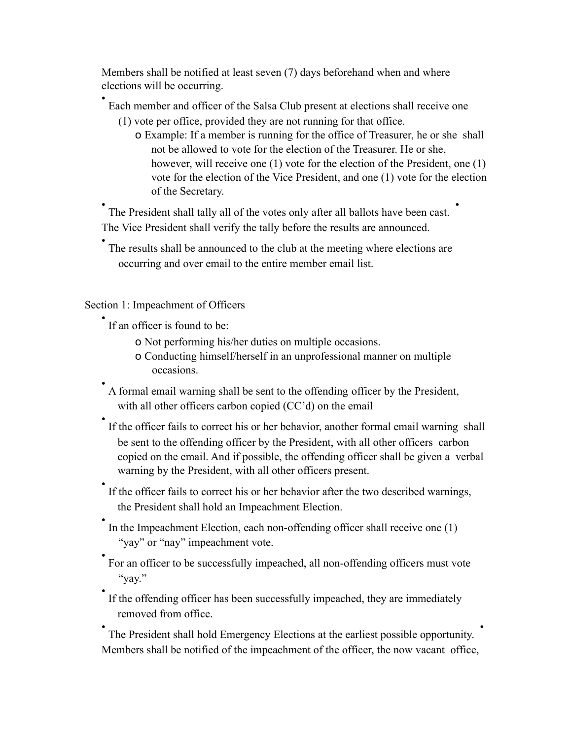Members shall be notified at least seven (7) days beforehand when and where elections will be occurring.

• Each member and officer of the Salsa Club present at elections shall receive one

- (1) vote per office, provided they are not running for that office.
	- o Example: If a member is running for the office of Treasurer, he or she shall not be allowed to vote for the election of the Treasurer. He or she, however, will receive one (1) vote for the election of the President, one (1) vote for the election of the Vice President, and one (1) vote for the election of the Secretary.

• The President shall tally all of the votes only after all ballots have been cast. • The Vice President shall verify the tally before the results are announced.

• The results shall be announced to the club at the meeting where elections are occurring and over email to the entire member email list.

Section 1: Impeachment of Officers

• If an officer is found to be:

o Not performing his/her duties on multiple occasions.

- o Conducting himself/herself in an unprofessional manner on multiple occasions.
- A formal email warning shall be sent to the offending officer by the President, with all other officers carbon copied (CC'd) on the email
- If the officer fails to correct his or her behavior, another formal email warning shall be sent to the offending officer by the President, with all other officers carbon copied on the email. And if possible, the offending officer shall be given a verbal warning by the President, with all other officers present.
- If the officer fails to correct his or her behavior after the two described warnings, the President shall hold an Impeachment Election.
- In the Impeachment Election, each non-offending officer shall receive one (1) "yay" or "nay" impeachment vote.
- For an officer to be successfully impeached, all non-offending officers must vote "yay."
- If the offending officer has been successfully impeached, they are immediately removed from office.

• The President shall hold Emergency Elections at the earliest possible opportunity. • Members shall be notified of the impeachment of the officer, the now vacant office,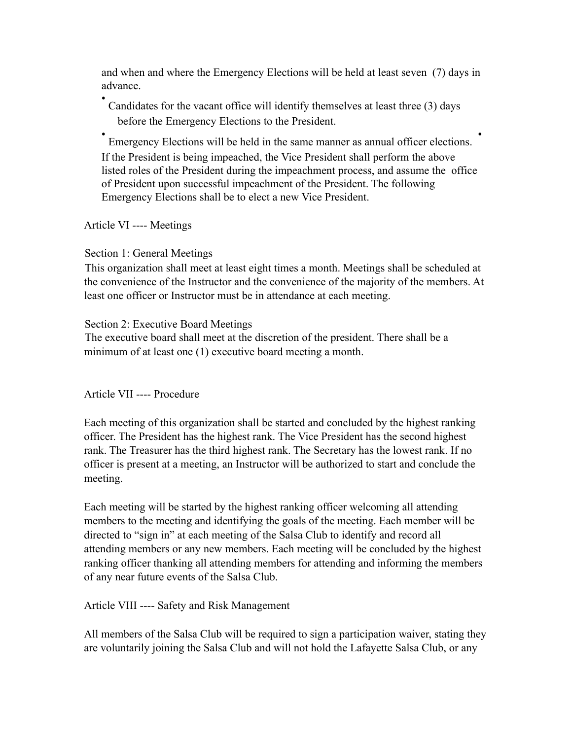and when and where the Emergency Elections will be held at least seven (7) days in advance.

• Candidates for the vacant office will identify themselves at least three (3) days before the Emergency Elections to the President.

• Emergency Elections will be held in the same manner as annual officer elections. • If the President is being impeached, the Vice President shall perform the above listed roles of the President during the impeachment process, and assume the office of President upon successful impeachment of the President. The following Emergency Elections shall be to elect a new Vice President.

Article VI ---- Meetings

## Section 1: General Meetings

This organization shall meet at least eight times a month. Meetings shall be scheduled at the convenience of the Instructor and the convenience of the majority of the members. At least one officer or Instructor must be in attendance at each meeting.

## Section 2: Executive Board Meetings

The executive board shall meet at the discretion of the president. There shall be a minimum of at least one (1) executive board meeting a month.

Article VII ---- Procedure

Each meeting of this organization shall be started and concluded by the highest ranking officer. The President has the highest rank. The Vice President has the second highest rank. The Treasurer has the third highest rank. The Secretary has the lowest rank. If no officer is present at a meeting, an Instructor will be authorized to start and conclude the meeting.

Each meeting will be started by the highest ranking officer welcoming all attending members to the meeting and identifying the goals of the meeting. Each member will be directed to "sign in" at each meeting of the Salsa Club to identify and record all attending members or any new members. Each meeting will be concluded by the highest ranking officer thanking all attending members for attending and informing the members of any near future events of the Salsa Club.

Article VIII ---- Safety and Risk Management

All members of the Salsa Club will be required to sign a participation waiver, stating they are voluntarily joining the Salsa Club and will not hold the Lafayette Salsa Club, or any